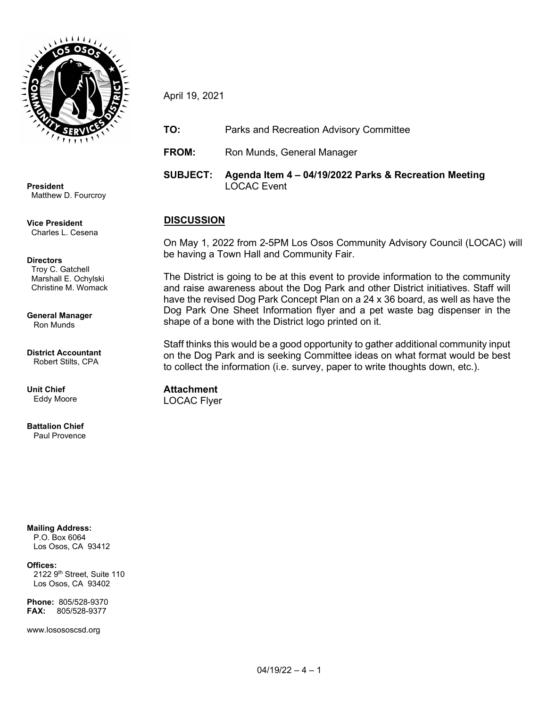

**President** Matthew D. Fourcroy

**Vice President** Charles L. Cesena

**Directors**

 Troy C. Gatchell Marshall E. Ochylski Christine M. Womack

**General Manager** Ron Munds

**District Accountant** Robert Stilts, CPA

**Unit Chief** Eddy Moore

**Battalion Chief** Paul Provence

**Mailing Address:** P.O. Box 6064

Los Osos, CA 93412

**Offices:**

2122 9<sup>th</sup> Street, Suite 110 Los Osos, CA 93402

**Phone:** 805/528-9370 **FAX:** 805/528-9377

www.losososcsd.org

April 19, 2021

**TO:** Parks and Recreation Advisory Committee

**FROM:** Ron Munds, General Manager

**SUBJECT: Agenda Item 4 – 04/19/2022 Parks & Recreation Meeting** LOCAC Event

## **DISCUSSION**

On May 1, 2022 from 2-5PM Los Osos Community Advisory Council (LOCAC) will be having a Town Hall and Community Fair.

The District is going to be at this event to provide information to the community and raise awareness about the Dog Park and other District initiatives. Staff will have the revised Dog Park Concept Plan on a 24 x 36 board, as well as have the Dog Park One Sheet Information flyer and a pet waste bag dispenser in the shape of a bone with the District logo printed on it.

Staff thinks this would be a good opportunity to gather additional community input on the Dog Park and is seeking Committee ideas on what format would be best to collect the information (i.e. survey, paper to write thoughts down, etc.).

**Attachment** LOCAC Flyer